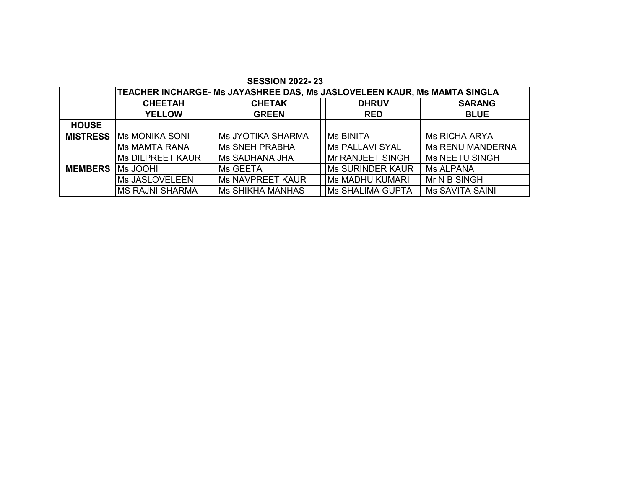|                 | TEACHER INCHARGE- Ms JAYASHREE DAS, Ms JASLOVELEEN KAUR, Ms MAMTA SINGLA |                          |                         |                          |  |  |  |  |  |  |  |  |  |
|-----------------|--------------------------------------------------------------------------|--------------------------|-------------------------|--------------------------|--|--|--|--|--|--|--|--|--|
|                 | <b>CHEETAH</b>                                                           | <b>CHETAK</b>            | <b>DHRUV</b>            | <b>SARANG</b>            |  |  |  |  |  |  |  |  |  |
|                 | <b>YELLOW</b>                                                            | <b>GREEN</b>             | <b>RED</b>              | <b>BLUE</b>              |  |  |  |  |  |  |  |  |  |
| <b>HOUSE</b>    |                                                                          |                          |                         |                          |  |  |  |  |  |  |  |  |  |
| <b>MISTRESS</b> | <b>IMS MONIKA SONI</b>                                                   | <b>Ms JYOTIKA SHARMA</b> | <b>IMS BINITA</b>       | <b>IMs RICHA ARYA</b>    |  |  |  |  |  |  |  |  |  |
|                 | IMs MAMTA RANA                                                           | <b>Ms SNEH PRABHA</b>    | <b>IMS PALLAVI SYAL</b> | <b>IMs RENU MANDERNA</b> |  |  |  |  |  |  |  |  |  |
|                 | <b>Ms DILPREET KAUR</b>                                                  | <b>Ms SADHANA JHA</b>    | <b>Mr RANJEET SINGH</b> | <b>IMS NEETU SINGH</b>   |  |  |  |  |  |  |  |  |  |
| <b>MEMBERS</b>  | <b>IMs JOOHI</b>                                                         | <b>IMS GEETA</b>         | <b>Ms SURINDER KAUR</b> | <b>IMS ALPANA</b>        |  |  |  |  |  |  |  |  |  |
|                 | <b>Ms JASLOVELEEN</b>                                                    | <b>Ms NAVPREET KAUR</b>  | <b>Ms MADHU KUMARI</b>  | <b>IMr N B SINGH</b>     |  |  |  |  |  |  |  |  |  |
|                 | <b>IMS RAJNI SHARMA</b>                                                  | <b>Ms SHIKHA MANHAS</b>  | <b>Ms SHALIMA GUPTA</b> | <b>IMS SAVITA SAINI</b>  |  |  |  |  |  |  |  |  |  |

**SESSION 2022- 23**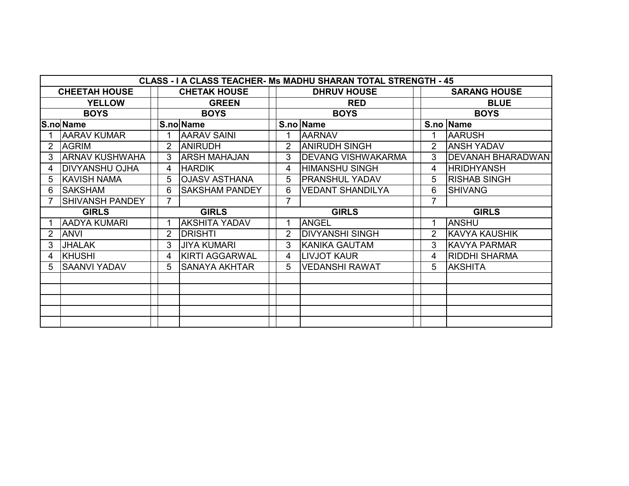|   | <b>CLASS - I A CLASS TEACHER- Ms MADHU SHARAN TOTAL STRENGTH - 45</b> |             |              |                       |  |                |                            |  |                |                       |  |  |  |  |
|---|-----------------------------------------------------------------------|-------------|--------------|-----------------------|--|----------------|----------------------------|--|----------------|-----------------------|--|--|--|--|
|   | <b>CHEETAH HOUSE</b>                                                  |             |              | <b>CHETAK HOUSE</b>   |  |                | <b>DHRUV HOUSE</b>         |  |                | <b>SARANG HOUSE</b>   |  |  |  |  |
|   | <b>YELLOW</b>                                                         |             |              | <b>GREEN</b>          |  |                | <b>RED</b>                 |  |                | <b>BLUE</b>           |  |  |  |  |
|   | <b>BOYS</b>                                                           | <b>BOYS</b> |              |                       |  |                | <b>BOYS</b>                |  |                | <b>BOYS</b>           |  |  |  |  |
|   | S.no Name                                                             |             |              | S.no Name             |  |                | S.no Name                  |  |                | S.no Name             |  |  |  |  |
|   | <b>AARAV KUMAR</b>                                                    |             |              | <b>AARAV SAINI</b>    |  | 1              | <b>AARNAV</b>              |  |                | <b>AARUSH</b>         |  |  |  |  |
| 2 | <b>AGRIM</b>                                                          |             | 2            | <b>ANIRUDH</b>        |  | $\overline{2}$ | <b>ANIRUDH SINGH</b>       |  | $\overline{2}$ | <b>ANSH YADAV</b>     |  |  |  |  |
| 3 | <b>ARNAV KUSHWAHA</b>                                                 |             | 3            | <b>ARSH MAHAJAN</b>   |  | 3              | <b>IDEVANG VISHWAKARMA</b> |  | 3              | DEVANAH BHARADWAN     |  |  |  |  |
| 4 | DIVYANSHU OJHA                                                        |             | 4            | <b>HARDIK</b>         |  | 4              | <b>HIMANSHU SINGH</b>      |  | 4              | <b>HRIDHYANSH</b>     |  |  |  |  |
| 5 | <b>KAVISH NAMA</b>                                                    |             | 5            | <b>OJASV ASTHANA</b>  |  | 5              | <b>PRANSHUL YADAV</b>      |  | 5              | <b>RISHAB SINGH</b>   |  |  |  |  |
| 6 | <b>SAKSHAM</b>                                                        |             | 6            | <b>SAKSHAM PANDEY</b> |  | 6              | <b>VEDANT SHANDILYA</b>    |  | 6              | <b>SHIVANG</b>        |  |  |  |  |
|   | SHIVANSH PANDEY                                                       |             |              |                       |  |                |                            |  |                |                       |  |  |  |  |
|   | <b>GIRLS</b>                                                          |             | <b>GIRLS</b> |                       |  |                | <b>GIRLS</b>               |  |                | <b>GIRLS</b>          |  |  |  |  |
|   | <b>AADYA KUMARI</b>                                                   |             |              | <b>AKSHITA YADAV</b>  |  |                | <b>ANGEL</b>               |  |                | <b>ANSHU</b>          |  |  |  |  |
|   | <b>ANVI</b>                                                           |             | 2            | <b>DRISHTI</b>        |  | $\overline{2}$ | <b>DIVYANSHI SINGH</b>     |  | 2              | <b>IKAVYA KAUSHIK</b> |  |  |  |  |
| 3 | <b>JHALAK</b>                                                         |             | 3            | <b>JIYA KUMARI</b>    |  | 3              | KANIKA GAUTAM              |  | 3              | <b>KAVYA PARMAR</b>   |  |  |  |  |
| 4 | KHUSHI                                                                |             | 4            | <b>KIRTI AGGARWAL</b> |  | 4              | LIVJOT KAUR                |  | 4              | <b>RIDDHI SHARMA</b>  |  |  |  |  |
| 5 | <b>SAANVI YADAV</b>                                                   |             | 5.           | <b>SANAYA AKHTAR</b>  |  | 5              | <b>VEDANSHI RAWAT</b>      |  | 5              | <b>AKSHITA</b>        |  |  |  |  |
|   |                                                                       |             |              |                       |  |                |                            |  |                |                       |  |  |  |  |
|   |                                                                       |             |              |                       |  |                |                            |  |                |                       |  |  |  |  |
|   |                                                                       |             |              |                       |  |                |                            |  |                |                       |  |  |  |  |
|   |                                                                       |             |              |                       |  |                |                            |  |                |                       |  |  |  |  |
|   |                                                                       |             |              |                       |  |                |                            |  |                |                       |  |  |  |  |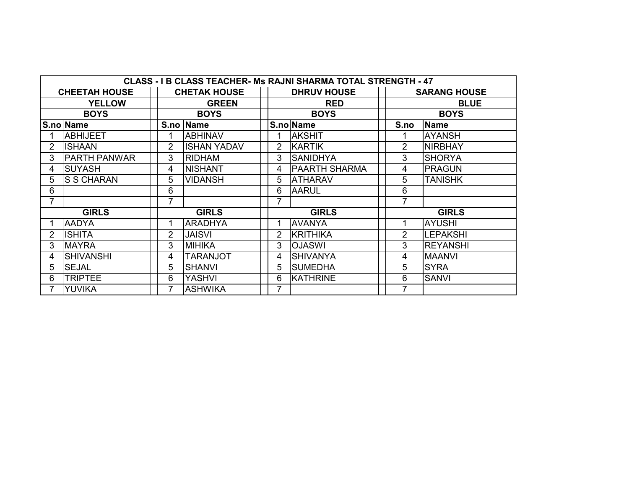| CLASS - I B CLASS TEACHER- Ms RAJNI SHARMA TOTAL STRENGTH - 47 |                      |                |                     |  |                |                      |  |                |                     |  |  |  |  |
|----------------------------------------------------------------|----------------------|----------------|---------------------|--|----------------|----------------------|--|----------------|---------------------|--|--|--|--|
|                                                                | <b>CHEETAH HOUSE</b> |                | <b>CHETAK HOUSE</b> |  |                | <b>DHRUV HOUSE</b>   |  |                | <b>SARANG HOUSE</b> |  |  |  |  |
|                                                                | <b>YELLOW</b>        |                | <b>GREEN</b>        |  |                | <b>RED</b>           |  |                | <b>BLUE</b>         |  |  |  |  |
|                                                                | <b>BOYS</b>          | <b>BOYS</b>    |                     |  | <b>BOYS</b>    |                      |  | <b>BOYS</b>    |                     |  |  |  |  |
|                                                                | S.no Name            |                | S.no   Name         |  |                | S.no Name            |  | S.no           | <b>Name</b>         |  |  |  |  |
|                                                                | <b>ABHIJEET</b>      |                | <b>ABHINAV</b>      |  | 1              | <b>AKSHIT</b>        |  |                | <b>AYANSH</b>       |  |  |  |  |
| $\overline{2}$                                                 | <b>IISHAAN</b>       | 2              | <b>ISHAN YADAV</b>  |  | $\overline{2}$ | <b>KARTIK</b>        |  | $\overline{2}$ | <b>NIRBHAY</b>      |  |  |  |  |
| 3                                                              | <b>PARTH PANWAR</b>  | 3              | <b>RIDHAM</b>       |  | 3              | <b>SANIDHYA</b>      |  | 3              | <b>SHORYA</b>       |  |  |  |  |
| 4                                                              | <b>SUYASH</b>        | 4              | <b>NISHANT</b>      |  | 4              | <b>PAARTH SHARMA</b> |  | 4              | <b>PRAGUN</b>       |  |  |  |  |
| 5                                                              | <b>S S CHARAN</b>    | 5              | <b>VIDANSH</b>      |  | 5              | <b>ATHARAV</b>       |  | 5              | TANISHK             |  |  |  |  |
| 6                                                              |                      | 6              |                     |  | 6              | <b>AARUL</b>         |  | 6              |                     |  |  |  |  |
| 7                                                              |                      | 7              |                     |  | 7              |                      |  | 7              |                     |  |  |  |  |
|                                                                | <b>GIRLS</b>         |                | <b>GIRLS</b>        |  |                | <b>GIRLS</b>         |  |                | <b>GIRLS</b>        |  |  |  |  |
|                                                                | <b>AADYA</b>         | 1              | <b>ARADHYA</b>      |  | 1              | <b>AVANYA</b>        |  |                | <b>AYUSHI</b>       |  |  |  |  |
| $\overline{2}$                                                 | <b>ISHITA</b>        | $\overline{2}$ | <b>JAISVI</b>       |  | $\overline{2}$ | <b>KRITHIKA</b>      |  | $\overline{2}$ | <b>LEPAKSHI</b>     |  |  |  |  |
| 3                                                              | <b>MAYRA</b>         | 3              | MIHIKA              |  | 3              | <b>OJASWI</b>        |  | 3              | <b>REYANSHI</b>     |  |  |  |  |
| 4                                                              | <b>SHIVANSHI</b>     | 4              | <b>TARANJOT</b>     |  | 4              | <b>SHIVANYA</b>      |  | 4              | <b>MAANVI</b>       |  |  |  |  |
| 5                                                              | <b>SEJAL</b>         | 5              | <b>SHANVI</b>       |  | 5              | <b>SUMEDHA</b>       |  | 5              | <b>SYRA</b>         |  |  |  |  |
| 6                                                              | <b>TRIPTEE</b>       | 6              | <b>YASHVI</b>       |  | 6              | <b>KATHRINE</b>      |  | 6              | <b>SANVI</b>        |  |  |  |  |
| 7                                                              | <b>YUVIKA</b>        | 7              | <b>ASHWIKA</b>      |  | 7              |                      |  | 7              |                     |  |  |  |  |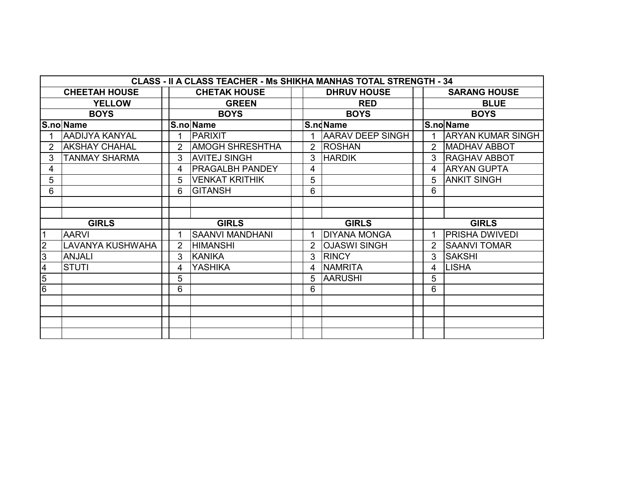|                | <b>CLASS - II A CLASS TEACHER - Ms SHIKHA MANHAS TOTAL STRENGTH - 34</b> |              |                        |   |                         |   |                          |  |  |  |  |  |  |  |
|----------------|--------------------------------------------------------------------------|--------------|------------------------|---|-------------------------|---|--------------------------|--|--|--|--|--|--|--|
|                | <b>CHEETAH HOUSE</b>                                                     |              | <b>CHETAK HOUSE</b>    |   | <b>DHRUV HOUSE</b>      |   | <b>SARANG HOUSE</b>      |  |  |  |  |  |  |  |
|                | <b>YELLOW</b>                                                            |              | <b>GREEN</b>           |   | <b>RED</b>              |   | <b>BLUE</b>              |  |  |  |  |  |  |  |
|                | <b>BOYS</b>                                                              |              | <b>BOYS</b>            |   | <b>BOYS</b>             |   | <b>BOYS</b>              |  |  |  |  |  |  |  |
|                | S.no Name                                                                |              | S.no Name              |   | S.ndName                |   | S.no Name                |  |  |  |  |  |  |  |
|                | <b>AADIJYA KANYAL</b>                                                    |              | PARIXIT                |   | <b>AARAV DEEP SINGH</b> |   | <b>ARYAN KUMAR SINGH</b> |  |  |  |  |  |  |  |
|                | <b>AKSHAY CHAHAL</b>                                                     |              | <b>AMOGH SHRESHTHA</b> | 2 | <b>ROSHAN</b>           | 2 | <b>MADHAV ABBOT</b>      |  |  |  |  |  |  |  |
| 3              | <b>TANMAY SHARMA</b>                                                     | 3            | <b>AVITEJ SINGH</b>    | 3 | <b>HARDIK</b>           | 3 | <b>RAGHAV ABBOT</b>      |  |  |  |  |  |  |  |
| 4              |                                                                          | 4            | <b>PRAGALBH PANDEY</b> | 4 |                         | 4 | <b>ARYAN GUPTA</b>       |  |  |  |  |  |  |  |
| 5              |                                                                          | 5            | VENKAT KRITHIK         | 5 |                         | 5 | <b>ANKIT SINGH</b>       |  |  |  |  |  |  |  |
| 6              |                                                                          | 6            | <b>GITANSH</b>         | 6 |                         | 6 |                          |  |  |  |  |  |  |  |
|                |                                                                          |              |                        |   |                         |   |                          |  |  |  |  |  |  |  |
|                |                                                                          |              |                        |   |                         |   |                          |  |  |  |  |  |  |  |
|                | <b>GIRLS</b>                                                             | <b>GIRLS</b> |                        |   | <b>GIRLS</b>            |   | <b>GIRLS</b>             |  |  |  |  |  |  |  |
|                | <b>AARVI</b>                                                             |              | <b>SAANVI MANDHANI</b> |   | <b>DIYANA MONGA</b>     |   | <b>PRISHA DWIVEDI</b>    |  |  |  |  |  |  |  |
| $\overline{2}$ | LAVANYA KUSHWAHA                                                         | 2            | <b>HIMANSHI</b>        | 2 | <b>OJASWI SINGH</b>     | 2 | <b>SAANVI TOMAR</b>      |  |  |  |  |  |  |  |
| 3              | <b>ANJALI</b>                                                            | 3            | KANIKA                 | 3 | <b>RINCY</b>            | 3 | <b>SAKSHI</b>            |  |  |  |  |  |  |  |
| 4              | <b>STUTI</b>                                                             | 4            | <b>YASHIKA</b>         | 4 | <b>NAMRITA</b>          | 4 | <b>LISHA</b>             |  |  |  |  |  |  |  |
| $\overline{5}$ |                                                                          | 5            |                        | 5 | <b>AARUSHI</b>          | 5 |                          |  |  |  |  |  |  |  |
| 6              |                                                                          | 6            |                        | 6 |                         | 6 |                          |  |  |  |  |  |  |  |
|                |                                                                          |              |                        |   |                         |   |                          |  |  |  |  |  |  |  |
|                |                                                                          |              |                        |   |                         |   |                          |  |  |  |  |  |  |  |
|                |                                                                          |              |                        |   |                         |   |                          |  |  |  |  |  |  |  |
|                |                                                                          |              |                        |   |                         |   |                          |  |  |  |  |  |  |  |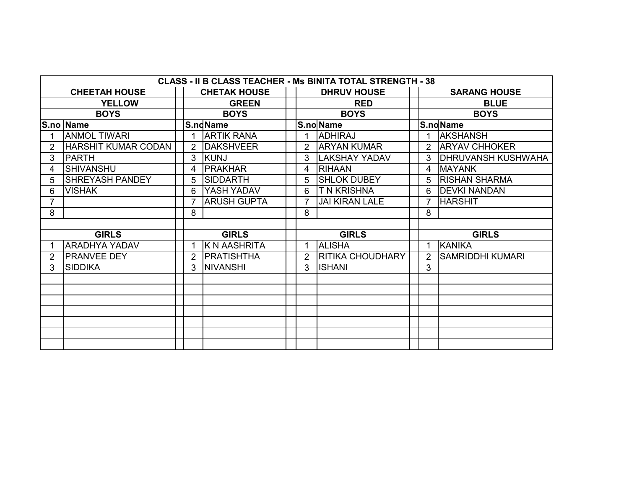|                | CLASS - II B CLASS TEACHER - Ms BINITA TOTAL STRENGTH - 38 |  |                |                     |  |                |                         |  |                |                            |  |  |  |  |
|----------------|------------------------------------------------------------|--|----------------|---------------------|--|----------------|-------------------------|--|----------------|----------------------------|--|--|--|--|
|                | <b>CHEETAH HOUSE</b>                                       |  |                | <b>CHETAK HOUSE</b> |  |                | <b>DHRUV HOUSE</b>      |  |                | <b>SARANG HOUSE</b>        |  |  |  |  |
|                | <b>YELLOW</b>                                              |  |                | <b>GREEN</b>        |  |                | <b>RED</b>              |  |                | <b>BLUE</b>                |  |  |  |  |
|                | <b>BOYS</b>                                                |  |                | <b>BOYS</b>         |  |                | <b>BOYS</b>             |  |                | <b>BOYS</b>                |  |  |  |  |
|                | S.no Name                                                  |  |                | S.ndName            |  |                | S.no Name               |  |                | S.ndName                   |  |  |  |  |
|                | <b>ANMOL TIWARI</b>                                        |  | 1              | <b>ARTIK RANA</b>   |  |                | <b>ADHIRAJ</b>          |  |                | <b>AKSHANSH</b>            |  |  |  |  |
| $\overline{2}$ | <b>HARSHIT KUMAR CODAN</b>                                 |  | 2              | <b>DAKSHVEER</b>    |  | $\overline{2}$ | <b>ARYAN KUMAR</b>      |  |                | 2 ARYAV CHHOKER            |  |  |  |  |
| 3              | <b>PARTH</b>                                               |  | 3              | KUNJ                |  | 3              | <b>LAKSHAY YADAV</b>    |  | $\mathcal{S}$  | <b>IDHRUVANSH KUSHWAHA</b> |  |  |  |  |
| 4              | <b>SHIVANSHU</b>                                           |  | 4              | <b>PRAKHAR</b>      |  | 4              | <b>RIHAAN</b>           |  | 4              | <b>IMAYANK</b>             |  |  |  |  |
| 5              | <b>SHREYASH PANDEY</b>                                     |  | 5              | <b>SIDDARTH</b>     |  | 5.             | <b>SHLOK DUBEY</b>      |  | $5^{\circ}$    | <b>RISHAN SHARMA</b>       |  |  |  |  |
| 6              | <b>VISHAK</b>                                              |  | 6              | <b>YASH YADAV</b>   |  | 6.             | <b>T N KRISHNA</b>      |  | 6              | <b>DEVKI NANDAN</b>        |  |  |  |  |
| $\overline{7}$ |                                                            |  | $\overline{7}$ | <b>ARUSH GUPTA</b>  |  |                | <b>JAI KIRAN LALE</b>   |  |                | <b>HARSHIT</b>             |  |  |  |  |
| 8              |                                                            |  | 8              |                     |  | 8              |                         |  | 8              |                            |  |  |  |  |
|                |                                                            |  |                |                     |  |                |                         |  |                |                            |  |  |  |  |
|                | <b>GIRLS</b>                                               |  |                | <b>GIRLS</b>        |  | <b>GIRLS</b>   |                         |  |                | <b>GIRLS</b>               |  |  |  |  |
|                | <b>ARADHYA YADAV</b>                                       |  |                | K N AASHRITA        |  |                | <b>ALISHA</b>           |  |                | <b>KANIKA</b>              |  |  |  |  |
| $\overline{2}$ | <b>PRANVEE DEY</b>                                         |  | 2              | <b>PRATISHTHA</b>   |  | $\mathcal{P}$  | <b>RITIKA CHOUDHARY</b> |  | $\overline{2}$ | <b>SAMRIDDHI KUMARI</b>    |  |  |  |  |
| 3              | <b>SIDDIKA</b>                                             |  | 3              | <b>NIVANSHI</b>     |  | 3              | <b>ISHANI</b>           |  | 3              |                            |  |  |  |  |
|                |                                                            |  |                |                     |  |                |                         |  |                |                            |  |  |  |  |
|                |                                                            |  |                |                     |  |                |                         |  |                |                            |  |  |  |  |
|                |                                                            |  |                |                     |  |                |                         |  |                |                            |  |  |  |  |
|                |                                                            |  |                |                     |  |                |                         |  |                |                            |  |  |  |  |
|                |                                                            |  |                |                     |  |                |                         |  |                |                            |  |  |  |  |
|                |                                                            |  |                |                     |  |                |                         |  |                |                            |  |  |  |  |
|                |                                                            |  |                |                     |  |                |                         |  |                |                            |  |  |  |  |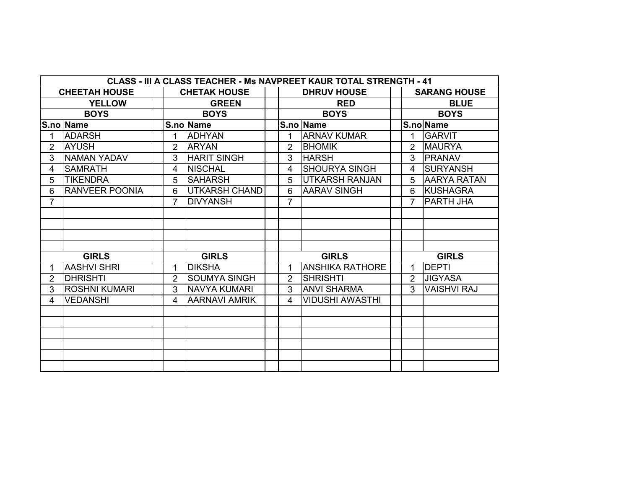|                | CLASS - III A CLASS TEACHER - Ms NAVPREET KAUR TOTAL STRENGTH - 41 |  |                |                      |  |                |                        |  |                |                     |  |  |  |  |
|----------------|--------------------------------------------------------------------|--|----------------|----------------------|--|----------------|------------------------|--|----------------|---------------------|--|--|--|--|
|                | <b>CHEETAH HOUSE</b>                                               |  |                | <b>CHETAK HOUSE</b>  |  |                | <b>DHRUV HOUSE</b>     |  |                | <b>SARANG HOUSE</b> |  |  |  |  |
|                | <b>YELLOW</b>                                                      |  |                | <b>GREEN</b>         |  |                | <b>RED</b>             |  |                | <b>BLUE</b>         |  |  |  |  |
|                | <b>BOYS</b>                                                        |  |                | <b>BOYS</b>          |  |                | <b>BOYS</b>            |  |                | <b>BOYS</b>         |  |  |  |  |
|                | S.no Name                                                          |  |                | S.no Name            |  |                | S.no Name              |  |                | S.no Name           |  |  |  |  |
| 1              | <b>ADARSH</b>                                                      |  | 1              | <b>ADHYAN</b>        |  |                | <b>ARNAV KUMAR</b>     |  | 1              | <b>GARVIT</b>       |  |  |  |  |
| $\overline{2}$ | <b>AYUSH</b>                                                       |  | $\overline{2}$ | <b>ARYAN</b>         |  | 2              | <b>BHOMIK</b>          |  | 2              | <b>MAURYA</b>       |  |  |  |  |
| 3              | <b>NAMAN YADAV</b>                                                 |  | 3              | <b>HARIT SINGH</b>   |  | 3              | <b>HARSH</b>           |  | 3              | <b>PRANAV</b>       |  |  |  |  |
| 4              | <b>SAMRATH</b>                                                     |  | 4              | <b>NISCHAL</b>       |  | 4              | <b>SHOURYA SINGH</b>   |  | 4              | <b>SURYANSH</b>     |  |  |  |  |
| 5              | <b>TIKENDRA</b>                                                    |  | 5              | <b>SAHARSH</b>       |  | 5              | <b>UTKARSH RANJAN</b>  |  | 5              | <b>AARYA RATAN</b>  |  |  |  |  |
| 6              | <b>RANVEER POONIA</b>                                              |  | 6              | <b>UTKARSH CHAND</b> |  | 6              | <b>AARAV SINGH</b>     |  | 6              | <b>KUSHAGRA</b>     |  |  |  |  |
| $\overline{7}$ |                                                                    |  | $\overline{7}$ | <b>DIVYANSH</b>      |  | $\overline{7}$ |                        |  | $\overline{7}$ | PARTH JHA           |  |  |  |  |
|                |                                                                    |  |                |                      |  |                |                        |  |                |                     |  |  |  |  |
|                |                                                                    |  |                |                      |  |                |                        |  |                |                     |  |  |  |  |
|                |                                                                    |  |                |                      |  |                |                        |  |                |                     |  |  |  |  |
|                |                                                                    |  |                |                      |  |                |                        |  |                |                     |  |  |  |  |
|                | <b>GIRLS</b>                                                       |  |                | <b>GIRLS</b>         |  |                | <b>GIRLS</b>           |  |                | <b>GIRLS</b>        |  |  |  |  |
| 1.             | <b>AASHVI SHRI</b>                                                 |  | 1              | <b>DIKSHA</b>        |  | 1              | <b>ANSHIKA RATHORE</b> |  | 1              | <b>DEPTI</b>        |  |  |  |  |
| $\overline{2}$ | <b>DHRISHTI</b>                                                    |  | $\overline{2}$ | <b>SOUMYA SINGH</b>  |  | $\overline{2}$ | <b>SHRISHTI</b>        |  | $\overline{2}$ | <b>JIGYASA</b>      |  |  |  |  |
| 3              | <b>ROSHNI KUMARI</b>                                               |  | 3              | <b>NAVYA KUMARI</b>  |  | 3              | <b>ANVI SHARMA</b>     |  | 3              | <b>VAISHVI RAJ</b>  |  |  |  |  |
| 4              | <b>VEDANSHI</b>                                                    |  | 4              | <b>AARNAVI AMRIK</b> |  | 4              | <b>VIDUSHI AWASTHI</b> |  |                |                     |  |  |  |  |
|                |                                                                    |  |                |                      |  |                |                        |  |                |                     |  |  |  |  |
|                |                                                                    |  |                |                      |  |                |                        |  |                |                     |  |  |  |  |
|                |                                                                    |  |                |                      |  |                |                        |  |                |                     |  |  |  |  |
|                |                                                                    |  |                |                      |  |                |                        |  |                |                     |  |  |  |  |
|                |                                                                    |  |                |                      |  |                |                        |  |                |                     |  |  |  |  |
|                |                                                                    |  |                |                      |  |                |                        |  |                |                     |  |  |  |  |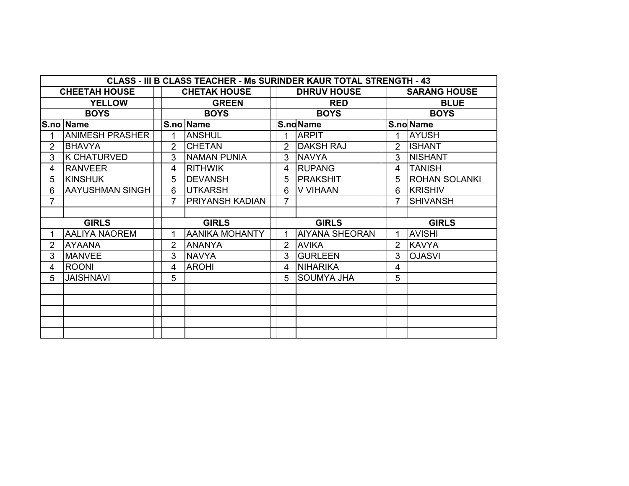| <b>CLASS - III B CLASS TEACHER - Ms SURINDER KAUR TOTAL STRENGTH - 43</b> |                        |              |                |                        |              |                |                       |             |                |                      |  |  |  |
|---------------------------------------------------------------------------|------------------------|--------------|----------------|------------------------|--------------|----------------|-----------------------|-------------|----------------|----------------------|--|--|--|
|                                                                           | <b>CHEETAH HOUSE</b>   |              |                | <b>CHETAK HOUSE</b>    |              |                | <b>DHRUV HOUSE</b>    |             |                | <b>SARANG HOUSE</b>  |  |  |  |
|                                                                           | <b>YELLOW</b>          |              |                | <b>GREEN</b>           |              |                | <b>RED</b>            | <b>BLUE</b> |                |                      |  |  |  |
|                                                                           | <b>BOYS</b>            | <b>BOYS</b>  |                |                        |              |                | <b>BOYS</b>           |             | <b>BOYS</b>    |                      |  |  |  |
|                                                                           | <b>S.no Name</b>       |              |                | S.no Name              |              |                | S.ndName              |             |                | S.no Name            |  |  |  |
| 1                                                                         | <b>ANIMESH PRASHER</b> |              |                | <b>ANSHUL</b>          |              | 1              | <b>ARPIT</b>          |             |                | <b>AYUSH</b>         |  |  |  |
| $\overline{2}$                                                            | <b>BHAVYA</b>          |              | $\overline{2}$ | <b>CHETAN</b>          |              | 2              | <b>DAKSH RAJ</b>      |             | 2              | <b>ISHANT</b>        |  |  |  |
| 3                                                                         | <b>K CHATURVED</b>     |              | 3              | <b>NAMAN PUNIA</b>     |              | 3              | <b>NAVYA</b>          |             | 3              | <b>NISHANT</b>       |  |  |  |
| 4                                                                         | <b>RANVEER</b>         |              | 4              | <b>RITHWIK</b>         |              | 4              | <b>RUPANG</b>         |             | 4              | <b>TANISH</b>        |  |  |  |
| 5                                                                         | <b>KINSHUK</b>         |              | 5              | <b>DEVANSH</b>         |              | 5              | <b>PRAKSHIT</b>       |             | 5              | <b>ROHAN SOLANKI</b> |  |  |  |
| 6                                                                         | <b>AAYUSHMAN SINGH</b> |              | 6              | <b>UTKARSH</b>         |              | 6              | V VIHAAN              |             | 6              | <b>KRISHIV</b>       |  |  |  |
| $\overline{7}$                                                            |                        |              | $\overline{7}$ | <b>PRIYANSH KADIAN</b> |              | $\overline{7}$ |                       |             | $\overline{7}$ | <b>SHIVANSH</b>      |  |  |  |
|                                                                           |                        |              |                |                        |              |                |                       |             |                |                      |  |  |  |
|                                                                           | <b>GIRLS</b>           | <b>GIRLS</b> |                |                        | <b>GIRLS</b> |                |                       |             | <b>GIRLS</b>   |                      |  |  |  |
|                                                                           | <b>AALIYA NAOREM</b>   |              |                | <b>AANIKA MOHANTY</b>  |              |                | <b>AIYANA SHEORAN</b> |             | 1              | <b>AVISHI</b>        |  |  |  |
| $\overline{2}$                                                            | <b>AYAANA</b>          |              | 2              | <b>ANANYA</b>          |              | 2              | <b>AVIKA</b>          |             | 2              | <b>KAVYA</b>         |  |  |  |
| 3                                                                         | <b>MANVEE</b>          |              | 3              | <b>NAVYA</b>           |              | 3              | <b>GURLEEN</b>        |             | 3              | <b>OJASVI</b>        |  |  |  |
| 4                                                                         | <b>ROONI</b>           |              | 4              | <b>AROHI</b>           |              | 4              | <b>NIHARIKA</b>       |             | 4              |                      |  |  |  |
| 5                                                                         | <b>JAISHNAVI</b>       |              | 5              |                        |              | 5              | <b>SOUMYA JHA</b>     |             | 5              |                      |  |  |  |
|                                                                           |                        |              |                |                        |              |                |                       |             |                |                      |  |  |  |
|                                                                           |                        |              |                |                        |              |                |                       |             |                |                      |  |  |  |
|                                                                           |                        |              |                |                        |              |                |                       |             |                |                      |  |  |  |
|                                                                           |                        |              |                |                        |              |                |                       |             |                |                      |  |  |  |
|                                                                           |                        |              |                |                        |              |                |                       |             |                |                      |  |  |  |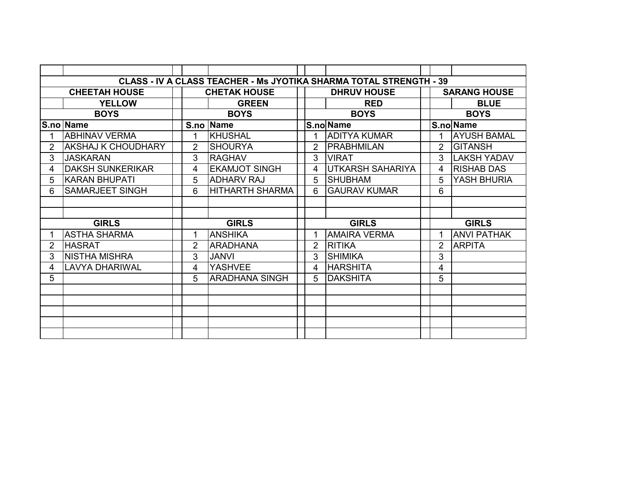|                | <b>CLASS - IV A CLASS TEACHER - Ms JYOTIKA SHARMA TOTAL STRENGTH - 39</b> |                |                        |  |                |                         |  |                |                     |  |  |  |  |  |
|----------------|---------------------------------------------------------------------------|----------------|------------------------|--|----------------|-------------------------|--|----------------|---------------------|--|--|--|--|--|
|                | <b>CHEETAH HOUSE</b>                                                      |                | <b>CHETAK HOUSE</b>    |  |                | <b>DHRUV HOUSE</b>      |  |                | <b>SARANG HOUSE</b> |  |  |  |  |  |
|                | <b>YELLOW</b>                                                             |                | <b>GREEN</b>           |  |                | <b>RED</b>              |  |                | <b>BLUE</b>         |  |  |  |  |  |
|                | <b>BOYS</b>                                                               |                | <b>BOYS</b>            |  |                | <b>BOYS</b>             |  |                | <b>BOYS</b>         |  |  |  |  |  |
|                | S.no Name                                                                 |                | S.no Name              |  |                | S.no Name               |  |                | S.no Name           |  |  |  |  |  |
|                | <b>ABHINAV VERMA</b>                                                      |                | <b>KHUSHAL</b>         |  | 1              | <b>ADITYA KUMAR</b>     |  | 1              | <b>AYUSH BAMAL</b>  |  |  |  |  |  |
| $\overline{2}$ | <b>AKSHAJ K CHOUDHARY</b>                                                 | $\overline{2}$ | <b>SHOURYA</b>         |  | $\overline{2}$ | <b>PRABHMILAN</b>       |  | $\overline{2}$ | <b>GITANSH</b>      |  |  |  |  |  |
| 3              | <b>JASKARAN</b>                                                           | 3              | <b>RAGHAV</b>          |  | 3              | <b>VIRAT</b>            |  | 3              | <b>LAKSH YADAV</b>  |  |  |  |  |  |
| 4              | <b>DAKSH SUNKERIKAR</b>                                                   | 4              | <b>EKAMJOT SINGH</b>   |  | 4              | <b>UTKARSH SAHARIYA</b> |  | 4              | <b>RISHAB DAS</b>   |  |  |  |  |  |
| 5              | KARAN BHUPATI                                                             | 5              | <b>ADHARV RAJ</b>      |  | 5              | <b>SHUBHAM</b>          |  | 5              | YASH BHURIA         |  |  |  |  |  |
| 6              | <b>SAMARJEET SINGH</b>                                                    | 6              | <b>HITHARTH SHARMA</b> |  | 6              | <b>GAURAV KUMAR</b>     |  | 6              |                     |  |  |  |  |  |
|                |                                                                           |                |                        |  |                |                         |  |                |                     |  |  |  |  |  |
|                |                                                                           |                |                        |  |                |                         |  |                |                     |  |  |  |  |  |
|                | <b>GIRLS</b>                                                              | <b>GIRLS</b>   |                        |  |                | <b>GIRLS</b>            |  |                | <b>GIRLS</b>        |  |  |  |  |  |
|                | <b>ASTHA SHARMA</b>                                                       | 1              | <b>ANSHIKA</b>         |  | 1              | <b>AMAIRA VERMA</b>     |  | 1              | <b>ANVI PATHAK</b>  |  |  |  |  |  |
| $\overline{2}$ | <b>HASRAT</b>                                                             | 2              | <b>ARADHANA</b>        |  | $\mathcal{P}$  | <b>RITIKA</b>           |  | 2              | <b>ARPITA</b>       |  |  |  |  |  |
| 3              | INISTHA MISHRA                                                            | 3              | <b>JANVI</b>           |  | 3              | <b>SHIMIKA</b>          |  | 3              |                     |  |  |  |  |  |
| 4              | <b>LAVYA DHARIWAL</b>                                                     | 4              | <b>YASHVEE</b>         |  | 4              | <b>HARSHITA</b>         |  | 4              |                     |  |  |  |  |  |
| 5              |                                                                           | 5              | <b>ARADHANA SINGH</b>  |  | 5              | <b>IDAKSHITA</b>        |  | 5              |                     |  |  |  |  |  |
|                |                                                                           |                |                        |  |                |                         |  |                |                     |  |  |  |  |  |
|                |                                                                           |                |                        |  |                |                         |  |                |                     |  |  |  |  |  |
|                |                                                                           |                |                        |  |                |                         |  |                |                     |  |  |  |  |  |
|                |                                                                           |                |                        |  |                |                         |  |                |                     |  |  |  |  |  |
|                |                                                                           |                |                        |  |                |                         |  |                |                     |  |  |  |  |  |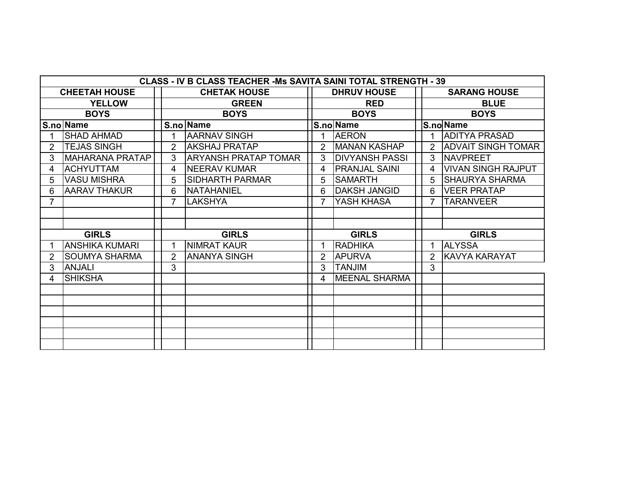|                | CLASS - IV B CLASS TEACHER - Ms SAVITA SAINI TOTAL STRENGTH - 39 |               |                             |               |                       |  |                                            |  |  |  |  |  |  |
|----------------|------------------------------------------------------------------|---------------|-----------------------------|---------------|-----------------------|--|--------------------------------------------|--|--|--|--|--|--|
|                | <b>CHEETAH HOUSE</b>                                             |               | <b>CHETAK HOUSE</b>         |               | <b>DHRUV HOUSE</b>    |  | <b>SARANG HOUSE</b>                        |  |  |  |  |  |  |
|                | <b>YELLOW</b>                                                    |               | <b>GREEN</b>                |               | <b>RED</b>            |  | <b>BLUE</b>                                |  |  |  |  |  |  |
|                | <b>BOYS</b>                                                      |               | <b>BOYS</b>                 |               | <b>BOYS</b>           |  | <b>BOYS</b>                                |  |  |  |  |  |  |
|                | S.no Name                                                        |               | S.no Name                   |               | S.no Name             |  | S.noName                                   |  |  |  |  |  |  |
|                | <b>SHAD AHMAD</b>                                                |               | <b>AARNAV SINGH</b>         |               | <b>AERON</b>          |  | <b>ADITYA PRASAD</b><br>$\mathbf 1$        |  |  |  |  |  |  |
| $\overline{2}$ | <b>TEJAS SINGH</b>                                               | $\mathcal{P}$ | <b>AKSHAJ PRATAP</b>        | $\mathcal{P}$ | MANAN KASHAP          |  | <b>ADVAIT SINGH TOMAR</b><br>$\mathcal{P}$ |  |  |  |  |  |  |
| 3              | MAHARANA PRATAP                                                  | 3.            | <b>ARYANSH PRATAP TOMAR</b> | 3             | <b>DIVYANSH PASSI</b> |  | <b>NAVPREET</b><br>3                       |  |  |  |  |  |  |
| 4              | <b>ACHYUTTAM</b>                                                 | 4             | <b>INEERAV KUMAR</b>        | 4             | <b>IPRANJAL SAINI</b> |  | VIVAN SINGH RAJPUT<br>4                    |  |  |  |  |  |  |
| 5              | <b>VASU MISHRA</b>                                               | 5             | <b>SIDHARTH PARMAR</b>      | 5             | <b>SAMARTH</b>        |  | <b>SHAURYA SHARMA</b><br>$5^{\circ}$       |  |  |  |  |  |  |
| 6.             | <b>AARAV THAKUR</b>                                              | 6             | <b>NATAHANIEL</b>           | 6             | <b>DAKSH JANGID</b>   |  | <b>VEER PRATAP</b><br>6                    |  |  |  |  |  |  |
| $\overline{7}$ |                                                                  | 7             | <b>LAKSHYA</b>              |               | YASH KHASA            |  | <b>TARANVEER</b><br>$\overline{7}$         |  |  |  |  |  |  |
|                |                                                                  |               |                             |               |                       |  |                                            |  |  |  |  |  |  |
|                |                                                                  |               |                             |               |                       |  |                                            |  |  |  |  |  |  |
|                | <b>GIRLS</b>                                                     | <b>GIRLS</b>  |                             |               | <b>GIRLS</b>          |  | <b>GIRLS</b>                               |  |  |  |  |  |  |
|                | <b>ANSHIKA KUMARI</b>                                            |               | <b>NIMRAT KAUR</b>          |               | <b>RADHIKA</b>        |  | <b>ALYSSA</b><br>1.                        |  |  |  |  |  |  |
| $\overline{2}$ | <b>SOUMYA SHARMA</b>                                             | 2             | <b>ANANYA SINGH</b>         | 2             | <b>APURVA</b>         |  | KAVYA KARAYAT<br>$\mathcal{P}$             |  |  |  |  |  |  |
| 3              | <b>ANJALI</b>                                                    | 3             |                             | 3             | <b>TANJIM</b>         |  | 3                                          |  |  |  |  |  |  |
| 4              | <b>SHIKSHA</b>                                                   |               |                             | 4             | <b>MEENAL SHARMA</b>  |  |                                            |  |  |  |  |  |  |
|                |                                                                  |               |                             |               |                       |  |                                            |  |  |  |  |  |  |
|                |                                                                  |               |                             |               |                       |  |                                            |  |  |  |  |  |  |
|                |                                                                  |               |                             |               |                       |  |                                            |  |  |  |  |  |  |
|                |                                                                  |               |                             |               |                       |  |                                            |  |  |  |  |  |  |
|                |                                                                  |               |                             |               |                       |  |                                            |  |  |  |  |  |  |
|                |                                                                  |               |                             |               |                       |  |                                            |  |  |  |  |  |  |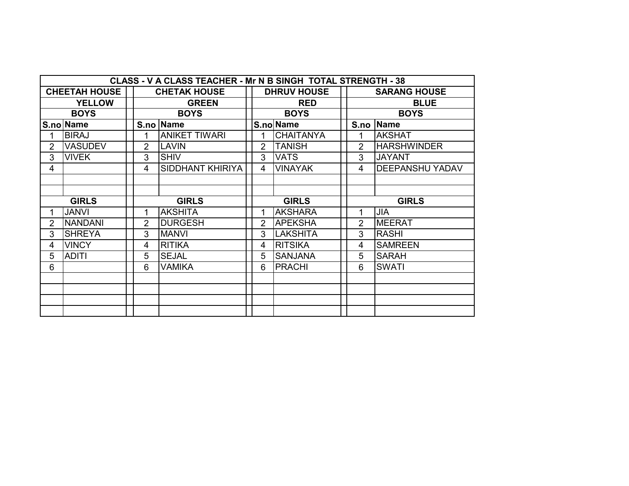|                | CLASS - V A CLASS TEACHER - Mr N B SINGH TOTAL STRENGTH - 38 |             |                |                      |              |   |                    |             |                |                        |  |  |  |  |
|----------------|--------------------------------------------------------------|-------------|----------------|----------------------|--------------|---|--------------------|-------------|----------------|------------------------|--|--|--|--|
|                | <b>CHEETAH HOUSE</b>                                         |             |                | <b>CHETAK HOUSE</b>  |              |   | <b>DHRUV HOUSE</b> |             |                | <b>SARANG HOUSE</b>    |  |  |  |  |
|                | <b>YELLOW</b>                                                |             |                | <b>GREEN</b>         |              |   | <b>RED</b>         |             |                | <b>BLUE</b>            |  |  |  |  |
|                | <b>BOYS</b>                                                  | <b>BOYS</b> |                |                      | <b>BOYS</b>  |   |                    | <b>BOYS</b> |                |                        |  |  |  |  |
|                | S.no Name                                                    |             |                | S.no Name            |              |   | S.no Name          |             |                | S.no Name              |  |  |  |  |
| 1              | <b>BIRAJ</b>                                                 |             | 1              | <b>ANIKET TIWARI</b> |              | 1 | <b>CHAITANYA</b>   |             | 1              | <b>AKSHAT</b>          |  |  |  |  |
| $\overline{2}$ | <b>VASUDEV</b>                                               |             | $\overline{2}$ | <b>LAVIN</b>         |              | 2 | <b>TANISH</b>      |             | $\overline{2}$ | <b>HARSHWINDER</b>     |  |  |  |  |
| 3              | <b>VIVEK</b>                                                 |             | 3              | <b>SHIV</b>          |              | 3 | <b>VATS</b>        |             | 3              | <b>JAYANT</b>          |  |  |  |  |
| 4              |                                                              |             | 4              | SIDDHANT KHIRIYA     | 4            |   | <b>VINAYAK</b>     |             | 4              | <b>DEEPANSHU YADAV</b> |  |  |  |  |
|                |                                                              |             |                |                      |              |   |                    |             |                |                        |  |  |  |  |
|                |                                                              |             |                |                      |              |   |                    |             |                |                        |  |  |  |  |
|                | <b>GIRLS</b>                                                 |             |                | <b>GIRLS</b>         | <b>GIRLS</b> |   |                    |             | <b>GIRLS</b>   |                        |  |  |  |  |
| 1              | <b>JANVI</b>                                                 |             | 1              | <b>AKSHITA</b>       |              | 1 | <b>AKSHARA</b>     |             | 1              | <b>JIA</b>             |  |  |  |  |
| $\overline{2}$ | <b>NANDANI</b>                                               |             | $\overline{2}$ | <b>DURGESH</b>       |              | 2 | <b>APEKSHA</b>     |             | $\overline{2}$ | <b>MEERAT</b>          |  |  |  |  |
| 3              | <b>SHREYA</b>                                                |             | 3              | <b>MANVI</b>         |              | 3 | <b>LAKSHITA</b>    |             | 3              | <b>RASHI</b>           |  |  |  |  |
| 4              | <b>VINCY</b>                                                 |             | 4              | <b>RITIKA</b>        |              | 4 | <b>RITSIKA</b>     |             | 4              | <b>SAMREEN</b>         |  |  |  |  |
| 5              | <b>ADITI</b>                                                 |             | 5              | <b>SEJAL</b>         |              | 5 | <b>SANJANA</b>     |             | 5              | <b>SARAH</b>           |  |  |  |  |
| 6              |                                                              |             | 6              | <b>VAMIKA</b>        |              | 6 | <b>PRACHI</b>      |             | 6              | <b>SWATI</b>           |  |  |  |  |
|                |                                                              |             |                |                      |              |   |                    |             |                |                        |  |  |  |  |
|                |                                                              |             |                |                      |              |   |                    |             |                |                        |  |  |  |  |
|                |                                                              |             |                |                      |              |   |                    |             |                |                        |  |  |  |  |
|                |                                                              |             |                |                      |              |   |                    |             |                |                        |  |  |  |  |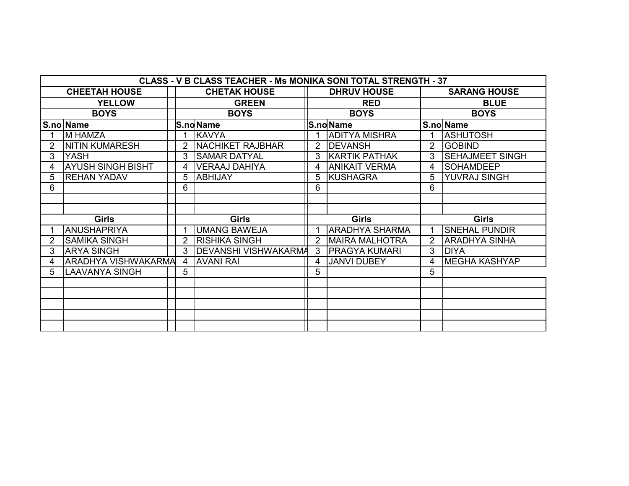|    | <b>CLASS - V B CLASS TEACHER - Ms MONIKA SONI TOTAL STRENGTH - 37</b> |              |   |                         |                       |                       |              |                        |  |  |  |  |  |  |
|----|-----------------------------------------------------------------------|--------------|---|-------------------------|-----------------------|-----------------------|--------------|------------------------|--|--|--|--|--|--|
|    | <b>CHEETAH HOUSE</b>                                                  |              |   | <b>CHETAK HOUSE</b>     |                       | <b>DHRUV HOUSE</b>    |              | <b>SARANG HOUSE</b>    |  |  |  |  |  |  |
|    | <b>YELLOW</b>                                                         |              |   | <b>GREEN</b>            |                       | <b>RED</b>            |              | <b>BLUE</b>            |  |  |  |  |  |  |
|    | <b>BOYS</b>                                                           | <b>BOYS</b>  |   |                         |                       | <b>BOYS</b>           |              | <b>BOYS</b>            |  |  |  |  |  |  |
|    | S.no Name                                                             |              |   | <b>S.no Name</b>        |                       | S.noName              |              | S.no Name              |  |  |  |  |  |  |
|    | <b>M HAMZA</b>                                                        |              |   | <b>KAVYA</b>            |                       | <b>ADITYA MISHRA</b>  |              | <b>ASHUTOSH</b>        |  |  |  |  |  |  |
|    | <b>NITIN KUMARESH</b>                                                 |              |   | <b>NACHIKET RAJBHAR</b> | 2                     | <b>DEVANSH</b>        | 2            | <b>GOBIND</b>          |  |  |  |  |  |  |
| 3  | <b>YASH</b>                                                           |              | 3 | <b>SAMAR DATYAL</b>     | 3                     | <b>KARTIK PATHAK</b>  | 3            | <b>SEHAJMEET SINGH</b> |  |  |  |  |  |  |
|    | <b>AYUSH SINGH BISHT</b>                                              |              | 4 | <b>VERAAJ DAHIYA</b>    | 4                     | <b>ANIKAIT VERMA</b>  | 4            | <b>SOHAMDEEP</b>       |  |  |  |  |  |  |
| 5  | <b>REHAN YADAV</b>                                                    |              | 5 | <b>ABHIJAY</b>          | 5                     | <b>KUSHAGRA</b>       | 5            | YUVRAJ SINGH           |  |  |  |  |  |  |
| 6  |                                                                       |              | 6 |                         | 6                     |                       | 6            |                        |  |  |  |  |  |  |
|    |                                                                       |              |   |                         |                       |                       |              |                        |  |  |  |  |  |  |
|    |                                                                       |              |   |                         |                       |                       |              |                        |  |  |  |  |  |  |
|    | <b>Girls</b>                                                          | <b>Girls</b> |   |                         | <b>Girls</b>          |                       | <b>Girls</b> |                        |  |  |  |  |  |  |
|    | <b>ANUSHAPRIYA</b>                                                    |              |   | <b>UMANG BAWEJA</b>     | <b>ARADHYA SHARMA</b> |                       |              | <b>SNEHAL PUNDIR</b>   |  |  |  |  |  |  |
|    | <b>SAMIKA SINGH</b>                                                   |              | 2 | <b>RISHIKA SINGH</b>    | $\mathcal{P}$         | <b>MAIRA MALHOTRA</b> |              | <b>ARADHYA SINHA</b>   |  |  |  |  |  |  |
| 3  | <b>ARYA SINGH</b>                                                     |              | 3 | DEVANSHI VISHWAKARMA    | 3                     | <b>PRAGYA KUMARI</b>  | 3            | <b>DIYA</b>            |  |  |  |  |  |  |
| 4  | <b>ARADHYA VISHWAKARMA</b>                                            |              | 4 | <b>AVANI RAI</b>        | 4                     | <b>JANVI DUBEY</b>    | 4            | MEGHA KASHYAP          |  |  |  |  |  |  |
| 5. | <b>LAAVANYA SINGH</b>                                                 |              | 5 |                         | 5                     |                       | 5            |                        |  |  |  |  |  |  |
|    |                                                                       |              |   |                         |                       |                       |              |                        |  |  |  |  |  |  |
|    |                                                                       |              |   |                         |                       |                       |              |                        |  |  |  |  |  |  |
|    |                                                                       |              |   |                         |                       |                       |              |                        |  |  |  |  |  |  |
|    |                                                                       |              |   |                         |                       |                       |              |                        |  |  |  |  |  |  |
|    |                                                                       |              |   |                         |                       |                       |              |                        |  |  |  |  |  |  |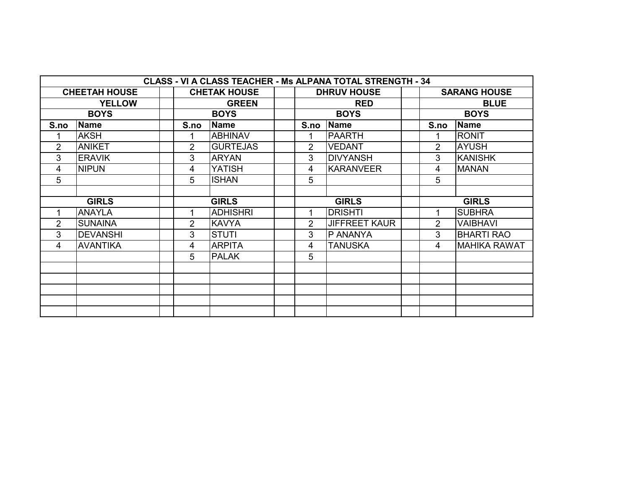| <b>CLASS - VI A CLASS TEACHER - Ms ALPANA TOTAL STRENGTH - 34</b> |                      |  |                |                     |  |                |                      |  |                |                     |  |  |  |
|-------------------------------------------------------------------|----------------------|--|----------------|---------------------|--|----------------|----------------------|--|----------------|---------------------|--|--|--|
|                                                                   | <b>CHEETAH HOUSE</b> |  |                | <b>CHETAK HOUSE</b> |  |                | <b>DHRUV HOUSE</b>   |  |                | <b>SARANG HOUSE</b> |  |  |  |
|                                                                   | <b>YELLOW</b>        |  |                | <b>GREEN</b>        |  |                | <b>RED</b>           |  |                | <b>BLUE</b>         |  |  |  |
| <b>BOYS</b>                                                       |                      |  | <b>BOYS</b>    |                     |  |                | <b>BOYS</b>          |  | <b>BOYS</b>    |                     |  |  |  |
| S.no                                                              | <b>Name</b>          |  | S.no           | <b>Name</b>         |  | S.no           | <b>Name</b>          |  | S.no           | Name                |  |  |  |
|                                                                   | <b>AKSH</b>          |  |                | <b>ABHINAV</b>      |  | 1              | <b>PAARTH</b>        |  | 1              | <b>RONIT</b>        |  |  |  |
| $\overline{2}$                                                    | <b>ANIKET</b>        |  | $\overline{2}$ | <b>GURTEJAS</b>     |  | $\overline{2}$ | <b>VEDANT</b>        |  | $\overline{2}$ | <b>AYUSH</b>        |  |  |  |
| 3                                                                 | <b>ERAVIK</b>        |  | 3              | <b>ARYAN</b>        |  | 3              | <b>DIVYANSH</b>      |  | 3              | <b>KANISHK</b>      |  |  |  |
| 4                                                                 | <b>NIPUN</b>         |  | 4              | <b>YATISH</b>       |  | 4              | <b>KARANVEER</b>     |  | 4              | <b>MANAN</b>        |  |  |  |
| 5                                                                 |                      |  | 5              | <b>ISHAN</b>        |  | 5              |                      |  | 5              |                     |  |  |  |
|                                                                   |                      |  |                |                     |  |                |                      |  |                |                     |  |  |  |
|                                                                   | <b>GIRLS</b>         |  |                | <b>GIRLS</b>        |  |                | <b>GIRLS</b>         |  |                | <b>GIRLS</b>        |  |  |  |
| 1                                                                 | <b>ANAYLA</b>        |  |                | <b>ADHISHRI</b>     |  | 1              | <b>DRISHTI</b>       |  | 1              | <b>SUBHRA</b>       |  |  |  |
| $\overline{2}$                                                    | <b>SUNAINA</b>       |  | $\overline{2}$ | <b>KAVYA</b>        |  | 2              | <b>JIFFREET KAUR</b> |  | $\overline{2}$ | <b>VAIBHAVI</b>     |  |  |  |
| 3                                                                 | <b>DEVANSHI</b>      |  | 3              | <b>STUTI</b>        |  | 3              | P ANANYA             |  | 3              | <b>BHARTI RAO</b>   |  |  |  |
| 4                                                                 | <b>AVANTIKA</b>      |  | 4              | <b>ARPITA</b>       |  | 4              | <b>TANUSKA</b>       |  | 4              | <b>MAHIKA RAWAT</b> |  |  |  |
|                                                                   |                      |  | 5              | <b>PALAK</b>        |  | 5              |                      |  |                |                     |  |  |  |
|                                                                   |                      |  |                |                     |  |                |                      |  |                |                     |  |  |  |
|                                                                   |                      |  |                |                     |  |                |                      |  |                |                     |  |  |  |
|                                                                   |                      |  |                |                     |  |                |                      |  |                |                     |  |  |  |
|                                                                   |                      |  |                |                     |  |                |                      |  |                |                     |  |  |  |
|                                                                   |                      |  |                |                     |  |                |                      |  |                |                     |  |  |  |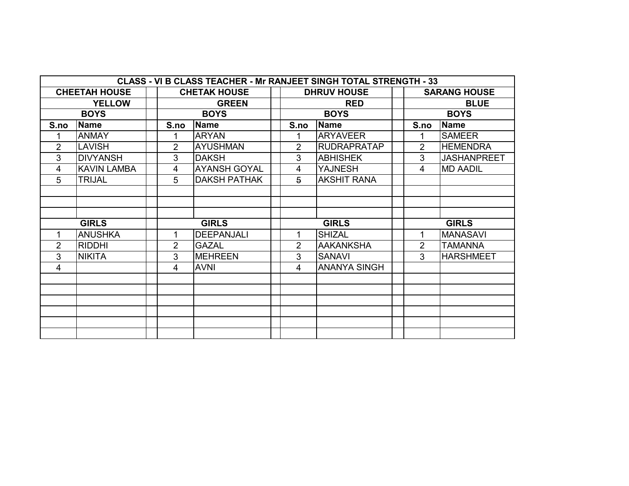| <b>CLASS - VI B CLASS TEACHER - Mr RANJEET SINGH TOTAL STRENGTH - 33</b> |                      |  |                |                     |  |                |                     |  |                     |                    |  |  |
|--------------------------------------------------------------------------|----------------------|--|----------------|---------------------|--|----------------|---------------------|--|---------------------|--------------------|--|--|
|                                                                          | <b>CHEETAH HOUSE</b> |  |                | <b>CHETAK HOUSE</b> |  |                | <b>DHRUV HOUSE</b>  |  | <b>SARANG HOUSE</b> |                    |  |  |
|                                                                          |                      |  | <b>GREEN</b>   |                     |  | <b>RED</b>     |                     |  | <b>BLUE</b>         |                    |  |  |
|                                                                          | <b>BOYS</b>          |  |                | <b>BOYS</b>         |  |                | <b>BOYS</b>         |  |                     | <b>BOYS</b>        |  |  |
| S.no                                                                     | <b>Name</b>          |  | S.no           | <b>Name</b>         |  | S.no           | <b>Name</b>         |  | S.no                | <b>Name</b>        |  |  |
|                                                                          | <b>ANMAY</b>         |  |                | <b>ARYAN</b>        |  |                | <b>ARYAVEER</b>     |  |                     | <b>SAMEER</b>      |  |  |
| 2                                                                        | <b>LAVISH</b>        |  | $\overline{2}$ | <b>AYUSHMAN</b>     |  | 2              | <b>RUDRAPRATAP</b>  |  | $\overline{2}$      | <b>HEMENDRA</b>    |  |  |
| 3                                                                        | <b>DIVYANSH</b>      |  | 3              | <b>DAKSH</b>        |  | 3              | <b>ABHISHEK</b>     |  | 3                   | <b>JASHANPREET</b> |  |  |
| 4                                                                        | <b>KAVIN LAMBA</b>   |  | 4              | <b>AYANSH GOYAL</b> |  | 4              | <b>YAJNESH</b>      |  | 4                   | <b>MD AADIL</b>    |  |  |
| 5                                                                        | <b>TRIJAL</b>        |  | 5              | <b>DAKSH PATHAK</b> |  | $\overline{5}$ | <b>AKSHIT RANA</b>  |  |                     |                    |  |  |
|                                                                          |                      |  |                |                     |  |                |                     |  |                     |                    |  |  |
|                                                                          |                      |  |                |                     |  |                |                     |  |                     |                    |  |  |
|                                                                          |                      |  |                |                     |  |                |                     |  |                     |                    |  |  |
|                                                                          | <b>GIRLS</b>         |  | <b>GIRLS</b>   |                     |  | <b>GIRLS</b>   |                     |  | <b>GIRLS</b>        |                    |  |  |
|                                                                          | <b>ANUSHKA</b>       |  |                | <b>DEEPANJALI</b>   |  |                | <b>SHIZAL</b>       |  | 1                   | <b>MANASAVI</b>    |  |  |
| $\overline{2}$                                                           | <b>RIDDHI</b>        |  | 2              | <b>GAZAL</b>        |  | $\overline{2}$ | <b>AAKANKSHA</b>    |  | $\overline{2}$      | <b>TAMANNA</b>     |  |  |
| 3                                                                        | <b>NIKITA</b>        |  | 3              | <b>MEHREEN</b>      |  | 3              | <b>SANAVI</b>       |  | 3                   | <b>HARSHMEET</b>   |  |  |
| 4                                                                        |                      |  | 4              | <b>AVNI</b>         |  | 4              | <b>ANANYA SINGH</b> |  |                     |                    |  |  |
|                                                                          |                      |  |                |                     |  |                |                     |  |                     |                    |  |  |
|                                                                          |                      |  |                |                     |  |                |                     |  |                     |                    |  |  |
|                                                                          |                      |  |                |                     |  |                |                     |  |                     |                    |  |  |
|                                                                          |                      |  |                |                     |  |                |                     |  |                     |                    |  |  |
|                                                                          |                      |  |                |                     |  |                |                     |  |                     |                    |  |  |
|                                                                          |                      |  |                |                     |  |                |                     |  |                     |                    |  |  |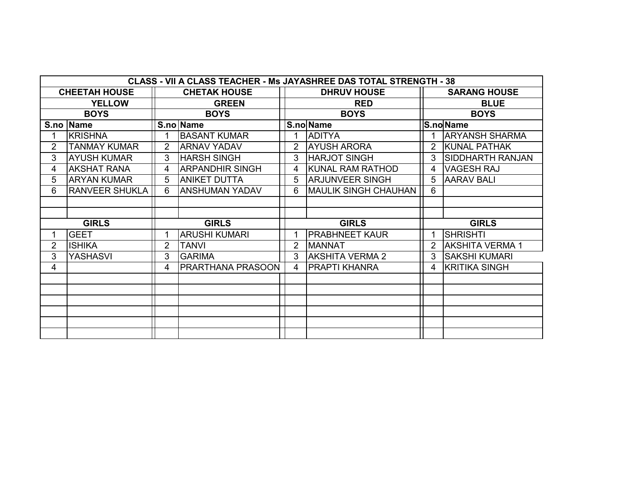|                                             | <b>CLASS - VII A CLASS TEACHER - Ms JAYASHREE DAS TOTAL STRENGTH - 38</b> |                |                          |                |                             |                     |                         |  |  |  |  |  |  |
|---------------------------------------------|---------------------------------------------------------------------------|----------------|--------------------------|----------------|-----------------------------|---------------------|-------------------------|--|--|--|--|--|--|
| <b>CHEETAH HOUSE</b><br><b>CHETAK HOUSE</b> |                                                                           |                |                          |                | <b>DHRUV HOUSE</b>          | <b>SARANG HOUSE</b> |                         |  |  |  |  |  |  |
|                                             | <b>YELLOW</b>                                                             | <b>GREEN</b>   |                          |                | <b>RED</b>                  |                     | <b>BLUE</b>             |  |  |  |  |  |  |
|                                             | <b>BOYS</b>                                                               |                | <b>BOYS</b>              |                | <b>BOYS</b>                 |                     | <b>BOYS</b>             |  |  |  |  |  |  |
|                                             | S.no   Name                                                               |                | S.no Name                |                | S.no Name                   | <b>S.no</b> Name    |                         |  |  |  |  |  |  |
|                                             | <b>KRISHNA</b>                                                            |                | <b>BASANT KUMAR</b>      |                | <b>ADITYA</b>               |                     | <b>ARYANSH SHARMA</b>   |  |  |  |  |  |  |
| $\overline{2}$                              | <b>TANMAY KUMAR</b>                                                       | $\overline{2}$ | <b>ARNAV YADAV</b>       | $\overline{2}$ | <b>AYUSH ARORA</b>          | 2                   | KUNAL PATHAK            |  |  |  |  |  |  |
| 3                                           | <b>AYUSH KUMAR</b>                                                        | 3              | <b>HARSH SINGH</b>       | 3              | <b>HARJOT SINGH</b>         | 3                   | <b>SIDDHARTH RANJAN</b> |  |  |  |  |  |  |
| 4                                           | <b>AKSHAT RANA</b>                                                        | 4              | ARPANDHIR SINGH          | 4              | KUNAL RAM RATHOD            | 4                   | <b>VAGESH RAJ</b>       |  |  |  |  |  |  |
| 5                                           | <b>ARYAN KUMAR</b>                                                        | 5              | <b>ANIKET DUTTA</b>      | 5              | <b>ARJUNVEER SINGH</b>      | 5                   | <b>AARAV BALI</b>       |  |  |  |  |  |  |
| 6                                           | <b>RANVEER SHUKLA</b>                                                     | 6              | <b>ANSHUMAN YADAV</b>    | 6              | <b>MAULIK SINGH CHAUHAN</b> | 6                   |                         |  |  |  |  |  |  |
|                                             |                                                                           |                |                          |                |                             |                     |                         |  |  |  |  |  |  |
|                                             |                                                                           |                |                          |                |                             |                     |                         |  |  |  |  |  |  |
|                                             | <b>GIRLS</b>                                                              | <b>GIRLS</b>   |                          | <b>GIRLS</b>   |                             |                     | <b>GIRLS</b>            |  |  |  |  |  |  |
|                                             | <b>GEET</b>                                                               |                | <b>ARUSHI KUMARI</b>     |                | <b>PRABHNEET KAUR</b>       |                     | <b>SHRISHTI</b>         |  |  |  |  |  |  |
| 2                                           | <b>ISHIKA</b>                                                             | 2              | <b>TANVI</b>             | 2              | <b>MANNAT</b>               | 2                   | <b>AKSHITA VERMA 1</b>  |  |  |  |  |  |  |
| 3                                           | <b>YASHASVI</b>                                                           | 3.             | <b>GARIMA</b>            | 3              | <b>AKSHITA VERMA 2</b>      | 3                   | <b>SAKSHI KUMARI</b>    |  |  |  |  |  |  |
| 4                                           |                                                                           | 4              | <b>PRARTHANA PRASOON</b> | 4              | <b>PRAPTI KHANRA</b>        | 4                   | <b>KRITIKA SINGH</b>    |  |  |  |  |  |  |
|                                             |                                                                           |                |                          |                |                             |                     |                         |  |  |  |  |  |  |
|                                             |                                                                           |                |                          |                |                             |                     |                         |  |  |  |  |  |  |
|                                             |                                                                           |                |                          |                |                             |                     |                         |  |  |  |  |  |  |
|                                             |                                                                           |                |                          |                |                             |                     |                         |  |  |  |  |  |  |
|                                             |                                                                           |                |                          |                |                             |                     |                         |  |  |  |  |  |  |
|                                             |                                                                           |                |                          |                |                             |                     |                         |  |  |  |  |  |  |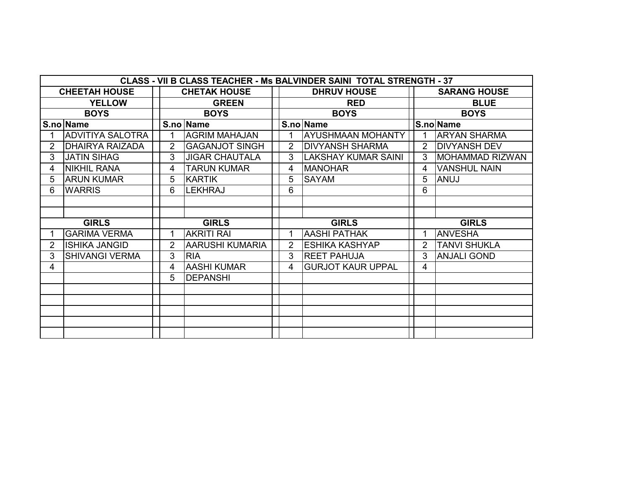|                | <b>CLASS - VII B CLASS TEACHER - Ms BALVINDER SAINI TOTAL STRENGTH - 37</b> |                |                        |  |                |                            |                |                        |  |  |  |  |  |
|----------------|-----------------------------------------------------------------------------|----------------|------------------------|--|----------------|----------------------------|----------------|------------------------|--|--|--|--|--|
|                | <b>CHEETAH HOUSE</b>                                                        |                | <b>CHETAK HOUSE</b>    |  |                | <b>DHRUV HOUSE</b>         |                | <b>SARANG HOUSE</b>    |  |  |  |  |  |
|                | <b>YELLOW</b>                                                               |                | <b>GREEN</b>           |  |                | <b>RED</b>                 |                | <b>BLUE</b>            |  |  |  |  |  |
|                | <b>BOYS</b>                                                                 |                | <b>BOYS</b>            |  |                | <b>BOYS</b>                |                | <b>BOYS</b>            |  |  |  |  |  |
|                | S.no Name                                                                   |                | S.no   Name            |  |                | S.no   Name                |                | S.no Name              |  |  |  |  |  |
|                | <b>ADVITIYA SALOTRA</b>                                                     |                | <b>AGRIM MAHAJAN</b>   |  |                | <b>AYUSHMAAN MOHANTY</b>   |                | <b>ARYAN SHARMA</b>    |  |  |  |  |  |
| 2              | <b>DHAIRYA RAIZADA</b>                                                      | 2              | <b>GAGANJOT SINGH</b>  |  | 2              | <b>DIVYANSH SHARMA</b>     | 2              | <b>DIVYANSH DEV</b>    |  |  |  |  |  |
| 3              | <b>JATIN SIHAG</b>                                                          | 3              | <b>JIGAR CHAUTALA</b>  |  | 3              | <b>LAKSHAY KUMAR SAINI</b> | 3              | <b>MOHAMMAD RIZWAN</b> |  |  |  |  |  |
| 4              | <b>NIKHIL RANA</b>                                                          | 4              | <b>TARUN KUMAR</b>     |  | 4              | <b>MANOHAR</b>             | 4              | <b>VANSHUL NAIN</b>    |  |  |  |  |  |
| 5              | <b>ARUN KUMAR</b>                                                           | 5              | <b>KARTIK</b>          |  | 5              | <b>SAYAM</b>               | 5              | ANUJ                   |  |  |  |  |  |
| 6              | <b>WARRIS</b>                                                               | 6              | <b>LEKHRAJ</b>         |  | 6              |                            | 6              |                        |  |  |  |  |  |
|                |                                                                             |                |                        |  |                |                            |                |                        |  |  |  |  |  |
|                |                                                                             |                |                        |  |                |                            |                |                        |  |  |  |  |  |
|                | <b>GIRLS</b>                                                                | <b>GIRLS</b>   |                        |  | <b>GIRLS</b>   |                            |                | <b>GIRLS</b>           |  |  |  |  |  |
|                | <b>GARIMA VERMA</b>                                                         |                | <b>AKRITI RAI</b>      |  |                | <b>AASHI PATHAK</b>        |                | <b>ANVESHA</b>         |  |  |  |  |  |
| $\overline{2}$ | <b>ISHIKA JANGID</b>                                                        | $\overline{2}$ | <b>AARUSHI KUMARIA</b> |  | $\overline{2}$ | <b>ESHIKA KASHYAP</b>      | $\overline{2}$ | <b>TANVI SHUKLA</b>    |  |  |  |  |  |
| 3              | <b>SHIVANGI VERMA</b>                                                       | 3              | <b>RIA</b>             |  | 3              | <b>REET PAHUJA</b>         | 3              | <b>ANJALI GOND</b>     |  |  |  |  |  |
| 4              |                                                                             | 4              | <b>AASHI KUMAR</b>     |  | 4              | <b>GURJOT KAUR UPPAL</b>   | 4              |                        |  |  |  |  |  |
|                |                                                                             | 5              | <b>DEPANSHI</b>        |  |                |                            |                |                        |  |  |  |  |  |
|                |                                                                             |                |                        |  |                |                            |                |                        |  |  |  |  |  |
|                |                                                                             |                |                        |  |                |                            |                |                        |  |  |  |  |  |
|                |                                                                             |                |                        |  |                |                            |                |                        |  |  |  |  |  |
|                |                                                                             |                |                        |  |                |                            |                |                        |  |  |  |  |  |
|                |                                                                             |                |                        |  |                |                            |                |                        |  |  |  |  |  |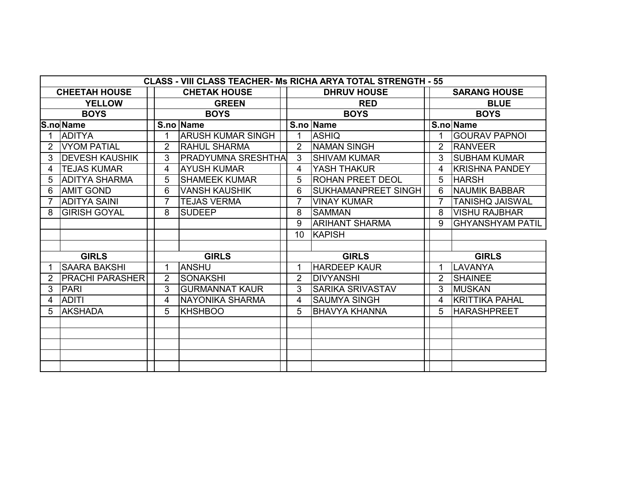|   | <b>CLASS - VIII CLASS TEACHER- Ms RICHA ARYA TOTAL STRENGTH - 55</b> |  |                |                           |  |                |                            |             |                     |                         |  |  |
|---|----------------------------------------------------------------------|--|----------------|---------------------------|--|----------------|----------------------------|-------------|---------------------|-------------------------|--|--|
|   | <b>CHEETAH HOUSE</b>                                                 |  |                | <b>CHETAK HOUSE</b>       |  |                | <b>DHRUV HOUSE</b>         |             | <b>SARANG HOUSE</b> |                         |  |  |
|   | <b>YELLOW</b>                                                        |  |                | <b>GREEN</b>              |  |                | <b>RED</b>                 | <b>BLUE</b> |                     |                         |  |  |
|   | <b>BOYS</b>                                                          |  |                | <b>BOYS</b>               |  |                | <b>BOYS</b>                |             | <b>BOYS</b>         |                         |  |  |
|   | <b>S.no Name</b>                                                     |  |                | S.no Name                 |  | S.no Name      |                            |             | S.no Name           |                         |  |  |
|   | <b>ADITYA</b>                                                        |  |                | <b>ARUSH KUMAR SINGH</b>  |  |                | <b>ASHIQ</b>               |             |                     | <b>GOURAV PAPNOL</b>    |  |  |
| 2 | <b>VYOM PATIAL</b>                                                   |  | $\overline{2}$ | <b>RAHUL SHARMA</b>       |  | $\overline{2}$ | <b>NAMAN SINGH</b>         |             | 2                   | <b>RANVEER</b>          |  |  |
| 3 | <b>DEVESH KAUSHIK</b>                                                |  | 3              | <b>PRADYUMNA SRESHTHA</b> |  | 3              | <b>SHIVAM KUMAR</b>        |             | 3                   | <b>SUBHAM KUMAR</b>     |  |  |
| 4 | <b>TEJAS KUMAR</b>                                                   |  | 4              | <b>AYUSH KUMAR</b>        |  | 4              | YASH THAKUR                |             | 4                   | <b>KRISHNA PANDEY</b>   |  |  |
| 5 | <b>ADITYA SHARMA</b>                                                 |  | 5              | <b>SHAMEEK KUMAR</b>      |  | 5              | <b>ROHAN PREET DEOL</b>    |             | 5                   | <b>HARSH</b>            |  |  |
| 6 | <b>AMIT GOND</b>                                                     |  | 6              | <b>VANSH KAUSHIK</b>      |  | 6              | <b>SUKHAMANPREET SINGH</b> |             | 6                   | <b>NAUMIK BABBAR</b>    |  |  |
|   | <b>ADITYA SAINI</b>                                                  |  | $\overline{7}$ | <b>TEJAS VERMA</b>        |  | $\overline{7}$ | <b>VINAY KUMAR</b>         |             | $\overline{7}$      | <b>TANISHQ JAISWAL</b>  |  |  |
| 8 | <b>GIRISH GOYAL</b>                                                  |  | 8              | <b>SUDEEP</b>             |  | 8              | <b>SAMMAN</b>              |             | 8                   | <b>VISHU RAJBHAR</b>    |  |  |
|   |                                                                      |  |                |                           |  | 9              | <b>ARIHANT SHARMA</b>      |             | 9                   | <b>GHYANSHYAM PATIL</b> |  |  |
|   |                                                                      |  |                |                           |  | 10             | <b>KAPISH</b>              |             |                     |                         |  |  |
|   |                                                                      |  |                |                           |  |                |                            |             |                     |                         |  |  |
|   | <b>GIRLS</b>                                                         |  | <b>GIRLS</b>   |                           |  | <b>GIRLS</b>   |                            |             | <b>GIRLS</b>        |                         |  |  |
|   | <b>SAARA BAKSHI</b>                                                  |  |                | <b>ANSHU</b>              |  | 1              | <b>HARDEEP KAUR</b>        |             | 1.                  | LAVANYA                 |  |  |
|   | <b>PRACHI PARASHER</b>                                               |  | $\overline{2}$ | <b>SONAKSHI</b>           |  | $\overline{2}$ | <b>DIVYANSHI</b>           |             | $\overline{2}$      | <b>SHAINEE</b>          |  |  |
| 3 | <b>PARI</b>                                                          |  | 3              | <b>GURMANNAT KAUR</b>     |  | 3              | <b>SARIKA SRIVASTAV</b>    |             | 3                   | <b>MUSKAN</b>           |  |  |
| 4 | <b>ADITI</b>                                                         |  | 4              | <b>NAYONIKA SHARMA</b>    |  | 4              | <b>SAUMYA SINGH</b>        |             | 4                   | <b>KRITTIKA PAHAL</b>   |  |  |
| 5 | <b>AKSHADA</b>                                                       |  | 5              | <b>KHSHBOO</b>            |  | 5              | <b>BHAVYA KHANNA</b>       |             | 5                   | <b>HARASHPREET</b>      |  |  |
|   |                                                                      |  |                |                           |  |                |                            |             |                     |                         |  |  |
|   |                                                                      |  |                |                           |  |                |                            |             |                     |                         |  |  |
|   |                                                                      |  |                |                           |  |                |                            |             |                     |                         |  |  |
|   |                                                                      |  |                |                           |  |                |                            |             |                     |                         |  |  |
|   |                                                                      |  |                |                           |  |                |                            |             |                     |                         |  |  |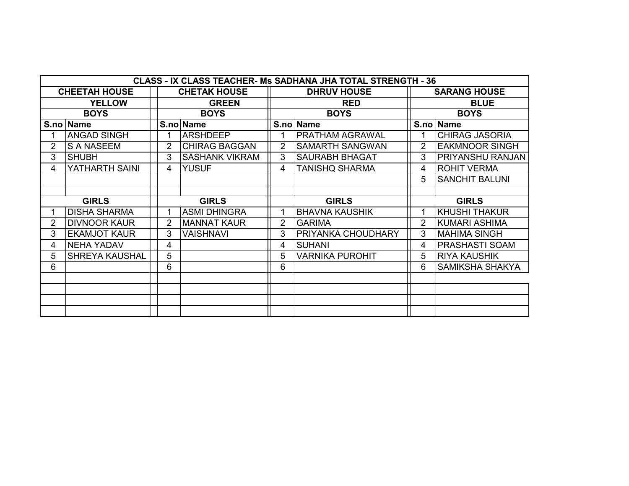|                | <b>CLASS - IX CLASS TEACHER- Ms SADHANA JHA TOTAL STRENGTH - 36</b> |                |                       |                |                           |                     |                         |  |  |  |  |  |  |
|----------------|---------------------------------------------------------------------|----------------|-----------------------|----------------|---------------------------|---------------------|-------------------------|--|--|--|--|--|--|
|                | <b>CHEETAH HOUSE</b>                                                |                | <b>CHETAK HOUSE</b>   |                | <b>DHRUV HOUSE</b>        | <b>SARANG HOUSE</b> |                         |  |  |  |  |  |  |
| <b>YELLOW</b>  |                                                                     |                | <b>GREEN</b>          |                | <b>RED</b>                | <b>BLUE</b>         |                         |  |  |  |  |  |  |
|                | <b>BOYS</b>                                                         |                | <b>BOYS</b>           |                | <b>BOYS</b>               | <b>BOYS</b>         |                         |  |  |  |  |  |  |
|                | S.no Name                                                           |                | S.no Name             |                | S.no Name                 | S.no   Name         |                         |  |  |  |  |  |  |
|                | <b>ANGAD SINGH</b>                                                  |                | <b>ARSHDEEP</b>       |                | <b>PRATHAM AGRAWAL</b>    |                     | <b>CHIRAG JASORIA</b>   |  |  |  |  |  |  |
| $\overline{2}$ | <b>S A NASEEM</b>                                                   | $\overline{2}$ | <b>CHIRAG BAGGAN</b>  | $\overline{2}$ | <b>SAMARTH SANGWAN</b>    | $\overline{2}$      | <b>EAKMNOOR SINGH</b>   |  |  |  |  |  |  |
| 3              | <b>SHUBH</b>                                                        | 3              | <b>SASHANK VIKRAM</b> | 3              | <b>SAURABH BHAGAT</b>     | 3                   | <b>PRIYANSHU RANJAN</b> |  |  |  |  |  |  |
| 4              | YATHARTH SAINI                                                      | 4              | <b>YUSUF</b>          | 4              | TANISHQ SHARMA            | 4                   | <b>ROHIT VERMA</b>      |  |  |  |  |  |  |
|                |                                                                     |                |                       |                |                           | 5                   | <b>SANCHIT BALUNI</b>   |  |  |  |  |  |  |
|                |                                                                     |                |                       |                |                           |                     |                         |  |  |  |  |  |  |
| <b>GIRLS</b>   |                                                                     |                | <b>GIRLS</b>          |                | <b>GIRLS</b>              | <b>GIRLS</b>        |                         |  |  |  |  |  |  |
|                | <b>DISHA SHARMA</b>                                                 |                | <b>ASMI DHINGRA</b>   | 1              | <b>BHAVNA KAUSHIK</b>     | 1                   | <b>KHUSHI THAKUR</b>    |  |  |  |  |  |  |
| 2              | <b>DIVNOOR KAUR</b>                                                 | 2              | <b>MANNAT KAUR</b>    | $\overline{2}$ | <b>GARIMA</b>             | $\overline{2}$      | KUMARI ASHIMA           |  |  |  |  |  |  |
| 3              | <b>EKAMJOT KAUR</b>                                                 | 3              | <b>VAISHNAVI</b>      | 3              | <b>PRIYANKA CHOUDHARY</b> | 3                   | <b>MAHIMA SINGH</b>     |  |  |  |  |  |  |
| 4              | <b>NEHA YADAV</b>                                                   | 4              |                       | 4              | <b>SUHANI</b>             | 4                   | <b>PRASHASTI SOAM</b>   |  |  |  |  |  |  |
| 5              | SHREYA KAUSHAL                                                      | 5              |                       | 5              | <b>VARNIKA PUROHIT</b>    | 5                   | <b>RIYA KAUSHIK</b>     |  |  |  |  |  |  |
| 6              |                                                                     | 6              |                       | 6              |                           | 6                   | <b>SAMIKSHA SHAKYA</b>  |  |  |  |  |  |  |
|                |                                                                     |                |                       |                |                           |                     |                         |  |  |  |  |  |  |
|                |                                                                     |                |                       |                |                           |                     |                         |  |  |  |  |  |  |
|                |                                                                     |                |                       |                |                           |                     |                         |  |  |  |  |  |  |
|                |                                                                     |                |                       |                |                           |                     |                         |  |  |  |  |  |  |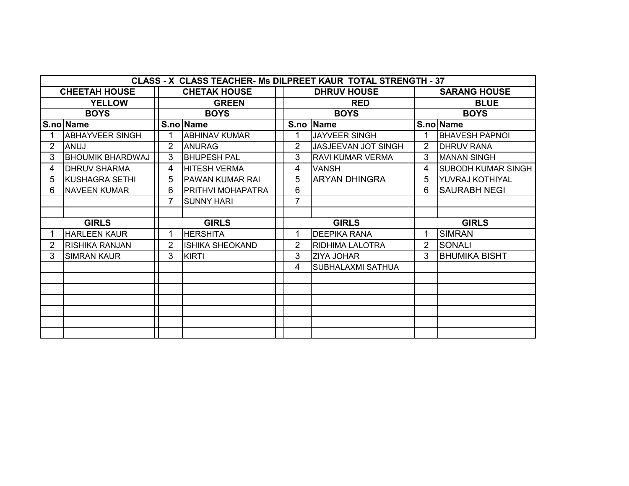| CLASS - X CLASS TEACHER- Ms DILPREET KAUR TOTAL STRENGTH - 37 |                         |                     |                          |  |                |                            |                     |                           |  |  |  |  |
|---------------------------------------------------------------|-------------------------|---------------------|--------------------------|--|----------------|----------------------------|---------------------|---------------------------|--|--|--|--|
|                                                               | <b>CHEETAH HOUSE</b>    | <b>CHETAK HOUSE</b> |                          |  |                | <b>DHRUV HOUSE</b>         | <b>SARANG HOUSE</b> |                           |  |  |  |  |
|                                                               | <b>YELLOW</b>           |                     | <b>GREEN</b>             |  |                | <b>RED</b>                 |                     | <b>BLUE</b>               |  |  |  |  |
|                                                               | <b>BOYS</b>             |                     | <b>BOYS</b>              |  |                | <b>BOYS</b>                |                     | <b>BOYS</b>               |  |  |  |  |
|                                                               | S.no Name               |                     | S.no Name                |  |                | S.no Name                  |                     | S.no Name                 |  |  |  |  |
|                                                               | <b>ABHAYVEER SINGH</b>  |                     | <b>ABHINAV KUMAR</b>     |  |                | JAYVEER SINGH              |                     | <b>BHAVESH PAPNOI</b>     |  |  |  |  |
| 2                                                             | ANUJ                    | 2                   | <b>ANURAG</b>            |  | 2              | <b>JASJEEVAN JOT SINGH</b> | $\overline{2}$      | <b>DHRUV RANA</b>         |  |  |  |  |
| 3                                                             | <b>BHOUMIK BHARDWAJ</b> | 3                   | <b>BHUPESH PAL</b>       |  | 3              | <b>RAVI KUMAR VERMA</b>    | 3                   | <b>MANAN SINGH</b>        |  |  |  |  |
| 4                                                             | <b>DHRUV SHARMA</b>     | 4                   | <b>HITESH VERMA</b>      |  | 4              | <b>VANSH</b>               | 4                   | <b>SUBODH KUMAR SINGH</b> |  |  |  |  |
| 5                                                             | KUSHAGRA SETHI          | 5                   | <b>PAWAN KUMAR RAI</b>   |  | 5              | <b>ARYAN DHINGRA</b>       | 5                   | YUVRAJ KOTHIYAL           |  |  |  |  |
| 6                                                             | <b>NAVEEN KUMAR</b>     | 6                   | <b>PRITHVI MOHAPATRA</b> |  | 6              |                            | 6                   | <b>SAURABH NEGI</b>       |  |  |  |  |
|                                                               |                         | 7                   | <b>SUNNY HARI</b>        |  | 7              |                            |                     |                           |  |  |  |  |
|                                                               |                         |                     |                          |  |                |                            |                     |                           |  |  |  |  |
| <b>GIRLS</b>                                                  |                         | <b>GIRLS</b>        |                          |  | <b>GIRLS</b>   |                            |                     | <b>GIRLS</b>              |  |  |  |  |
|                                                               | <b>HARLEEN KAUR</b>     |                     | <b>HERSHITA</b>          |  |                | <b>DEEPIKA RANA</b>        |                     | <b>SIMRAN</b>             |  |  |  |  |
| 2                                                             | RISHIKA RANJAN          | $\overline{2}$      | <b>ISHIKA SHEOKAND</b>   |  | $\overline{2}$ | <b>RIDHIMA LALOTRA</b>     | $\overline{2}$      | <b>SONALI</b>             |  |  |  |  |
| 3                                                             | <b>SIMRAN KAUR</b>      | 3                   | <b>KIRTI</b>             |  | 3              | <b>IZIYA JOHAR</b>         | 3                   | <b>BHUMIKA BISHT</b>      |  |  |  |  |
|                                                               |                         |                     |                          |  | 4              | <b>SUBHALAXMI SATHUA</b>   |                     |                           |  |  |  |  |
|                                                               |                         |                     |                          |  |                |                            |                     |                           |  |  |  |  |
|                                                               |                         |                     |                          |  |                |                            |                     |                           |  |  |  |  |
|                                                               |                         |                     |                          |  |                |                            |                     |                           |  |  |  |  |
|                                                               |                         |                     |                          |  |                |                            |                     |                           |  |  |  |  |
|                                                               |                         |                     |                          |  |                |                            |                     |                           |  |  |  |  |
|                                                               |                         |                     |                          |  |                |                            |                     |                           |  |  |  |  |